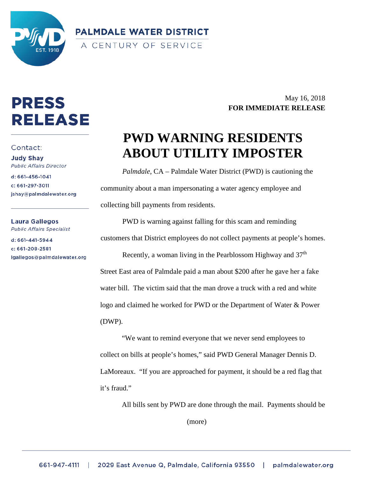

**PALMDALE WATER DISTRICT** A CENTURY OF SERVICE

# **PRESS** RELEASE

#### Contact:

**Judy Shay Public Affairs Director** 

d: 661-456-1041 c: 661-297-3011 jshay@palmdalewater.org

Laura Gallegos **Public Affairs Specialist** 

d: 661-441-5944 c: 661-208-2581 lgallegos@palmdalewater.org

## May 16, 2018 **FOR IMMEDIATE RELEASE**

# **PWD WARNING RESIDENTS ABOUT UTILITY IMPOSTER**

*Palmdale,* CA – Palmdale Water District (PWD) is cautioning the community about a man impersonating a water agency employee and collecting bill payments from residents.

PWD is warning against falling for this scam and reminding customers that District employees do not collect payments at people's homes. Recently, a woman living in the Pearblossom Highway and  $37<sup>th</sup>$ Street East area of Palmdale paid a man about \$200 after he gave her a fake water bill. The victim said that the man drove a truck with a red and white logo and claimed he worked for PWD or the Department of Water & Power (DWP).

"We want to remind everyone that we never send employees to collect on bills at people's homes," said PWD General Manager Dennis D. LaMoreaux. "If you are approached for payment, it should be a red flag that it's fraud."

All bills sent by PWD are done through the mail. Payments should be (more)